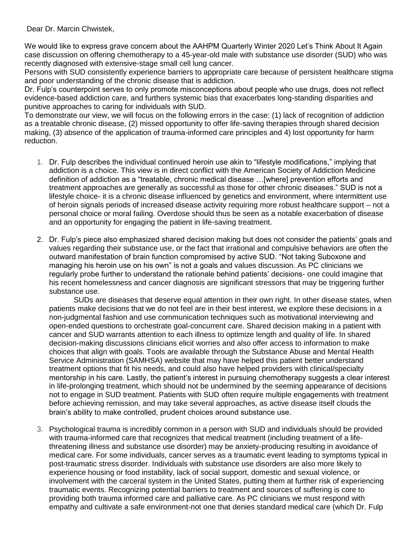Dear Dr. Marcin Chwistek,

We would like to express grave concern about the AAHPM Quarterly Winter 2020 Let's Think About It Again case discussion on offering chemotherapy to a 45-year-old male with substance use disorder (SUD) who was recently diagnosed with extensive-stage small cell lung cancer.

Persons with SUD consistently experience barriers to appropriate care because of persistent healthcare stigma and poor understanding of the chronic disease that is addiction.

Dr. Fulp's counterpoint serves to only promote misconceptions about people who use drugs, does not reflect evidence-based addiction care, and furthers systemic bias that exacerbates long-standing disparities and punitive approaches to caring for individuals with SUD.

To demonstrate our view, we will focus on the following errors in the case: (1) lack of recognition of addiction as a treatable chronic disease, (2) missed opportunity to offer life-saving therapies through shared decision making, (3) absence of the application of trauma-informed care principles and 4) lost opportunity for harm reduction.

- 1. Dr. Fulp describes the individual continued heroin use akin to "lifestyle modifications," implying that addiction is a choice. This view is in direct conflict with the American Society of Addiction Medicine definition of addiction as a "treatable, chronic medical disease …[where] prevention efforts and treatment approaches are generally as successful as those for other chronic diseases." SUD is not a lifestyle choice- it is a chronic disease influenced by genetics and environment, where intermittent use of heroin signals periods of increased disease activity requiring more robust healthcare support – not a personal choice or moral failing. Overdose should thus be seen as a notable exacerbation of disease and an opportunity for engaging the patient in life-saving treatment.
- 2. Dr. Fulp's piece also emphasized shared decision making but does not consider the patients' goals and values regarding their substance use, or the fact that irrational and compulsive behaviors are often the outward manifestation of brain function compromised by active SUD. "Not taking Suboxone and managing his heroin use on his own" is not a goals and values discussion. As PC clinicians we regularly probe further to understand the rationale behind patients' decisions- one could imagine that his recent homelessness and cancer diagnosis are significant stressors that may be triggering further substance use.

SUDs are diseases that deserve equal attention in their own right. In other disease states, when patients make decisions that we do not feel are in their best interest, we explore these decisions in a non-judgmental fashion and use communication techniques such as motivational interviewing and open-ended questions to orchestrate goal-concurrent care. Shared decision making in a patient with cancer and SUD warrants attention to each illness to optimize length and quality of life. In shared decision-making discussions clinicians elicit worries and also offer access to information to make choices that align with goals. Tools are available through the Substance Abuse and Mental Health Service Administration (SAMHSA) website that may have helped this patient better understand treatment options that fit his needs, and could also have helped providers with clinical/specialty mentorship in his care. Lastly, the patient's interest in pursuing chemotherapy suggests a clear interest in life-prolonging treatment, which should not be undermined by the seeming appearance of decisions not to engage in SUD treatment. Patients with SUD often require multiple engagements with treatment before achieving remission, and may take several approaches, as active disease itself clouds the brain's ability to make controlled, prudent choices around substance use.

3. Psychological trauma is incredibly common in a person with SUD and individuals should be provided with trauma-informed care that recognizes that medical treatment (including treatment of a lifethreatening illness and substance use disorder) may be anxiety-producing resulting in avoidance of medical care. For some individuals, cancer serves as a traumatic event leading to symptoms typical in post-traumatic stress disorder. Individuals with substance use disorders are also more likely to experience housing or food instability, lack of social support, domestic and sexual violence, or involvement with the carceral system in the United States, putting them at further risk of experiencing traumatic events. Recognizing potential barriers to treatment and sources of suffering is core to providing both trauma informed care and palliative care. As PC clinicians we must respond with empathy and cultivate a safe environment-not one that denies standard medical care (which Dr. Fulp